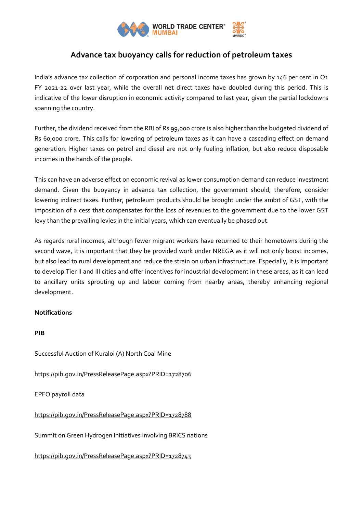

## **Advance tax buoyancy calls for reduction of petroleum taxes**

India's advance tax collection of corporation and personal income taxes has grown by 146 per cent in Q1 FY 2021-22 over last year, while the overall net direct taxes have doubled during this period. This is indicative of the lower disruption in economic activity compared to last year, given the partial lockdowns spanning the country.

Further, the dividend received from the RBI of Rs 99,000 crore is also higher than the budgeted dividend of Rs 60,000 crore. This calls for lowering of petroleum taxes as it can have a cascading effect on demand generation. Higher taxes on petrol and diesel are not only fueling inflation, but also reduce disposable incomes in the hands of the people.

This can have an adverse effect on economic revival as lower consumption demand can reduce investment demand. Given the buoyancy in advance tax collection, the government should, therefore, consider lowering indirect taxes. Further, petroleum products should be brought under the ambit of GST, with the imposition of a cess that compensates for the loss of revenues to the government due to the lower GST levy than the prevailing levies in the initial years, which can eventually be phased out.

As regards rural incomes, although fewer migrant workers have returned to their hometowns during the second wave, it is important that they be provided work under NREGA as it will not only boost incomes, but also lead to rural development and reduce the strain on urban infrastructure. Especially, it is important to develop Tier II and III cities and offer incentives for industrial development in these areas, as it can lead to ancillary units sprouting up and labour coming from nearby areas, thereby enhancing regional development.

## **Notifications**

## **PIB**

Successful Auction of Kuraloi (A) North Coal Mine

<https://pib.gov.in/PressReleasePage.aspx?PRID=1728706>

EPFO payroll data

<https://pib.gov.in/PressReleasePage.aspx?PRID=1728788>

Summit on Green Hydrogen Initiatives involving BRICS nations

<https://pib.gov.in/PressReleasePage.aspx?PRID=1728743>